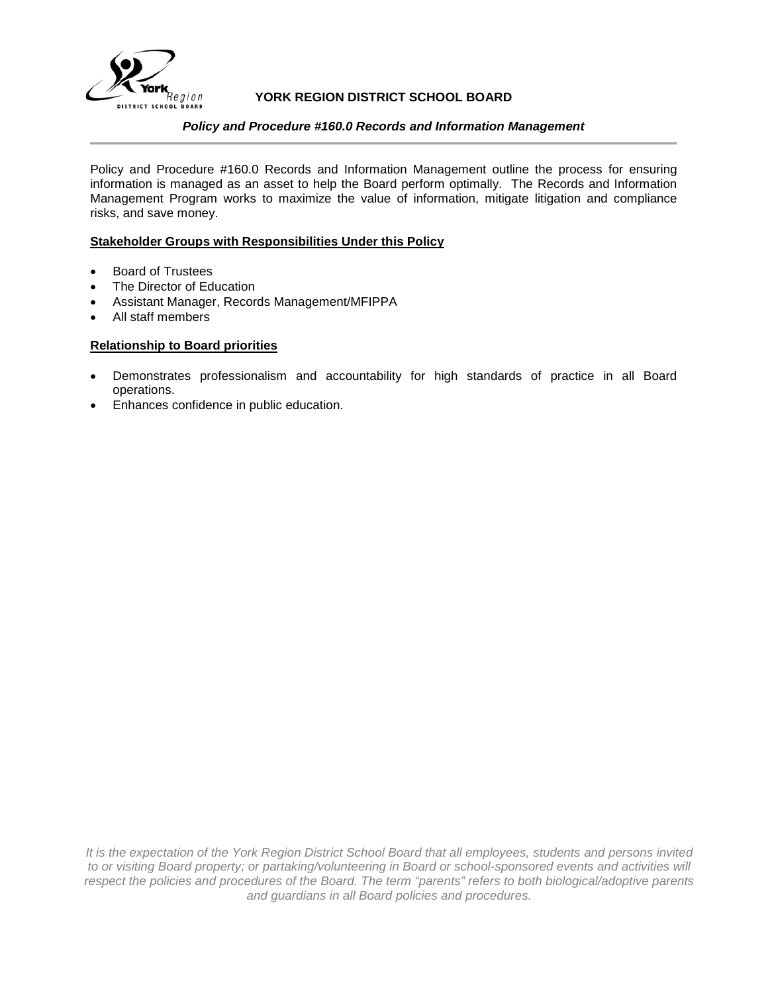

# **YORK REGION DISTRICT SCHOOL BOARD**

## *Policy and Procedure #160.0 Records and Information Management*

Policy and Procedure #160.0 Records and Information Management outline the process for ensuring information is managed as an asset to help the Board perform optimally. The Records and Information Management Program works to maximize the value of information, mitigate litigation and compliance risks, and save money.

## **Stakeholder Groups with Responsibilities Under this Policy**

- Board of Trustees
- The Director of Education
- Assistant Manager, Records Management/MFIPPA
- All staff members

## **Relationship to Board priorities**

- Demonstrates professionalism and accountability for high standards of practice in all Board operations.
- Enhances confidence in public education.

*It is the expectation of the York Region District School Board that all employees, students and persons invited to or visiting Board property; or partaking/volunteering in Board or school-sponsored events and activities will respect the policies and procedures of the Board. The term "parents" refers to both biological/adoptive parents and guardians in all Board policies and procedures.*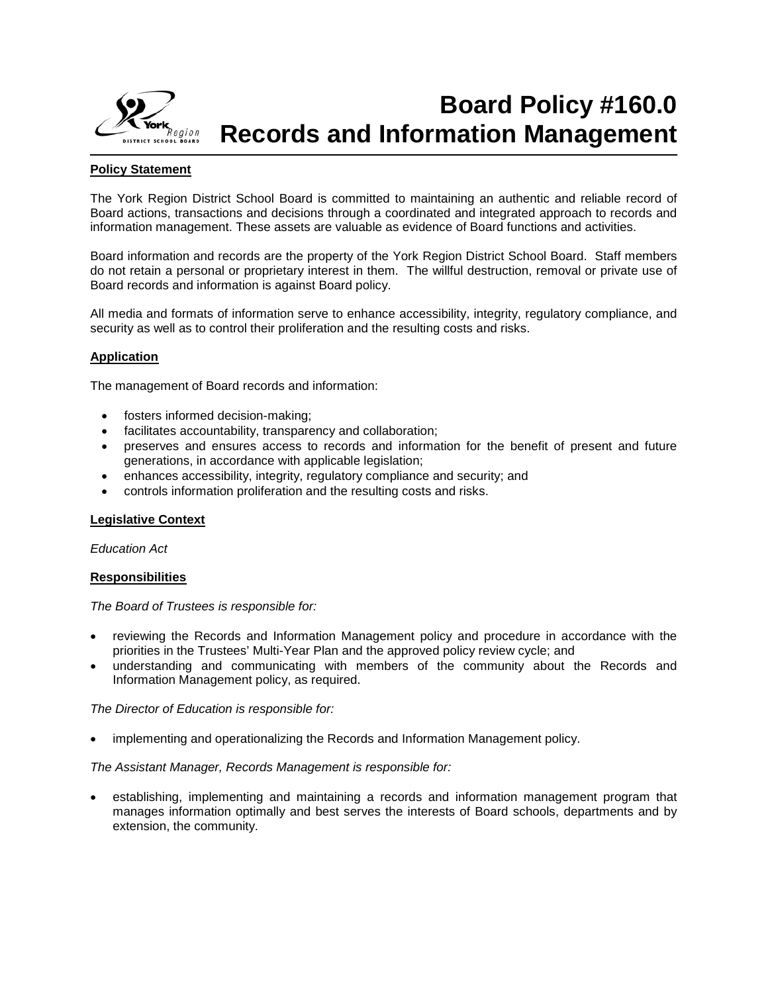

# **Board Policy #160.0 Records and Information Management**

# **Policy Statement**

The York Region District School Board is committed to maintaining an authentic and reliable record of Board actions, transactions and decisions through a coordinated and integrated approach to records and information management. These assets are valuable as evidence of Board functions and activities.

Board information and records are the property of the York Region District School Board. Staff members do not retain a personal or proprietary interest in them. The willful destruction, removal or private use of Board records and information is against Board policy.

All media and formats of information serve to enhance accessibility, integrity, regulatory compliance, and security as well as to control their proliferation and the resulting costs and risks.

## **Application**

The management of Board records and information:

- fosters informed decision-making;
- facilitates accountability, transparency and collaboration;
- preserves and ensures access to records and information for the benefit of present and future generations, in accordance with applicable legislation;
- enhances accessibility, integrity, regulatory compliance and security; and
- controls information proliferation and the resulting costs and risks.

## **Legislative Context**

*Education Act*

## **Responsibilities**

*The Board of Trustees is responsible for:*

- reviewing the Records and Information Management policy and procedure in accordance with the priorities in the Trustees' Multi-Year Plan and the approved policy review cycle; and
- understanding and communicating with members of the community about the Records and Information Management policy, as required.

*The Director of Education is responsible for:*

• implementing and operationalizing the Records and Information Management policy.

*The Assistant Manager, Records Management is responsible for:*

• establishing, implementing and maintaining a records and information management program that manages information optimally and best serves the interests of Board schools, departments and by extension, the community.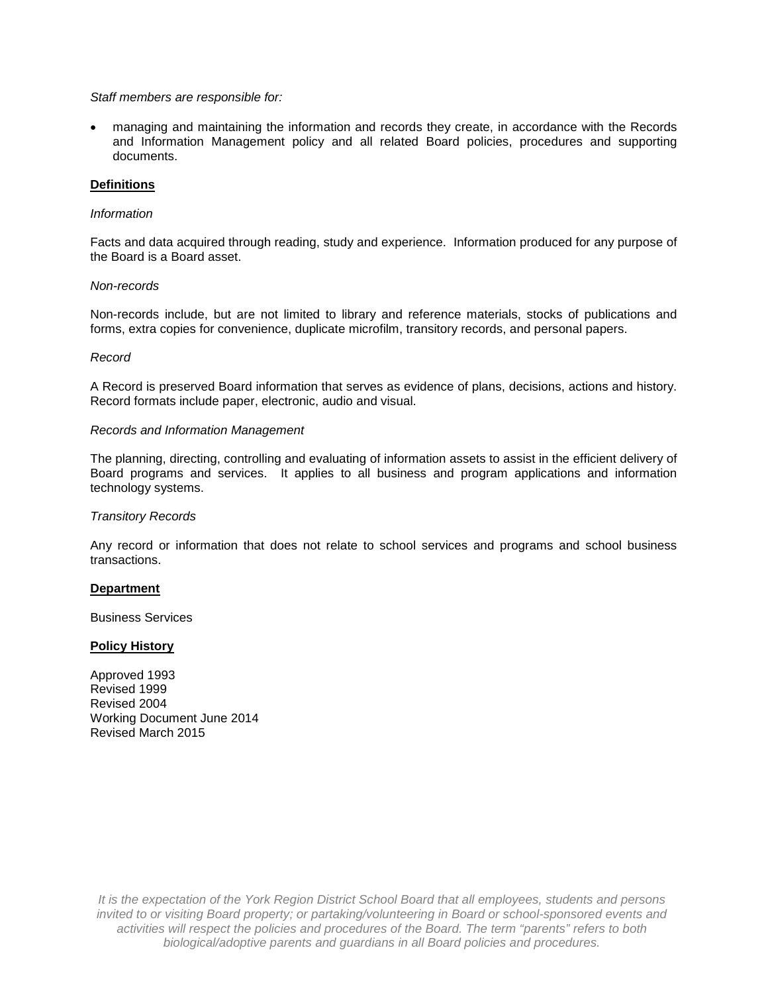### *Staff members are responsible for:*

• managing and maintaining the information and records they create, in accordance with the Records and Information Management policy and all related Board policies, procedures and supporting documents.

### **Definitions**

## *Information*

Facts and data acquired through reading, study and experience. Information produced for any purpose of the Board is a Board asset.

#### *Non-records*

Non-records include, but are not limited to library and reference materials, stocks of publications and forms, extra copies for convenience, duplicate microfilm, transitory records, and personal papers.

#### *Record*

A Record is preserved Board information that serves as evidence of plans, decisions, actions and history. Record formats include paper, electronic, audio and visual.

### *Records and Information Management*

The planning, directing, controlling and evaluating of information assets to assist in the efficient delivery of Board programs and services. It applies to all business and program applications and information technology systems.

#### *Transitory Records*

Any record or information that does not relate to school services and programs and school business transactions.

#### **Department**

Business Services

#### **Policy History**

Approved 1993 Revised 1999 Revised 2004 Working Document June 2014 Revised March 2015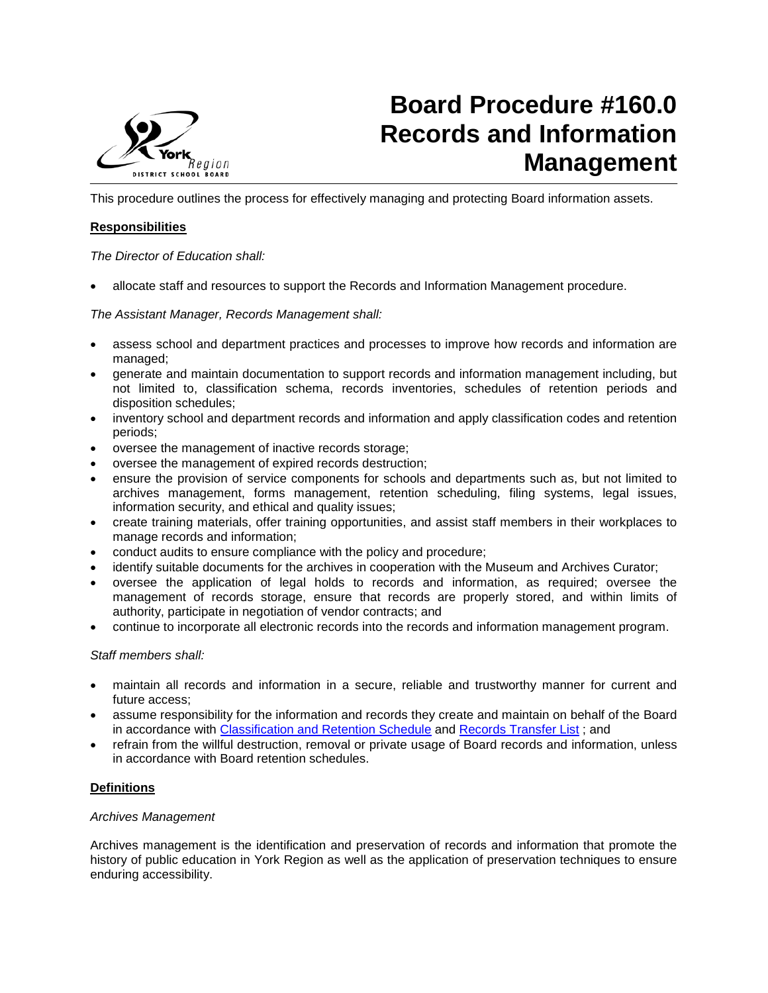

# **Board Procedure #160.0 Records and Information Management**

This procedure outlines the process for effectively managing and protecting Board information assets.

# **Responsibilities**

*The Director of Education shall:*

• allocate staff and resources to support the Records and Information Management procedure.

*The Assistant Manager, Records Management shall:*

- assess school and department practices and processes to improve how records and information are managed;
- generate and maintain documentation to support records and information management including, but not limited to, classification schema, records inventories, schedules of retention periods and disposition schedules;
- inventory school and department records and information and apply classification codes and retention periods;
- oversee the management of inactive records storage;
- oversee the management of expired records destruction;
- ensure the provision of service components for schools and departments such as, but not limited to archives management, forms management, retention scheduling, filing systems, legal issues, information security, and ethical and quality issues;
- create training materials, offer training opportunities, and assist staff members in their workplaces to manage records and information;
- conduct audits to ensure compliance with the policy and procedure;
- identify suitable documents for the archives in cooperation with the Museum and Archives Curator;
- oversee the application of legal holds to records and information, as required; oversee the management of records storage, ensure that records are properly stored, and within limits of authority, participate in negotiation of vendor contracts; and
- continue to incorporate all electronic records into the records and information management program.

## *Staff members shall:*

- maintain all records and information in a secure, reliable and trustworthy manner for current and future access;
- assume responsibility for the information and records they create and maintain on behalf of the Board in accordance with [Classification and Retention Schedule](https://bww.yrdsb.ca/boarddocs/Documents/SD-classificationandretentionschedule-primaryorder.pdf) and [Records Transfer List](https://bww.yrdsb.ca/boarddocs/Documents/FOR-recordstransferlist-161.pdf); and
- refrain from the willful destruction, removal or private usage of Board records and information, unless in accordance with Board retention schedules.

## **Definitions**

## *Archives Management*

Archives management is the identification and preservation of records and information that promote the history of public education in York Region as well as the application of preservation techniques to ensure enduring accessibility.